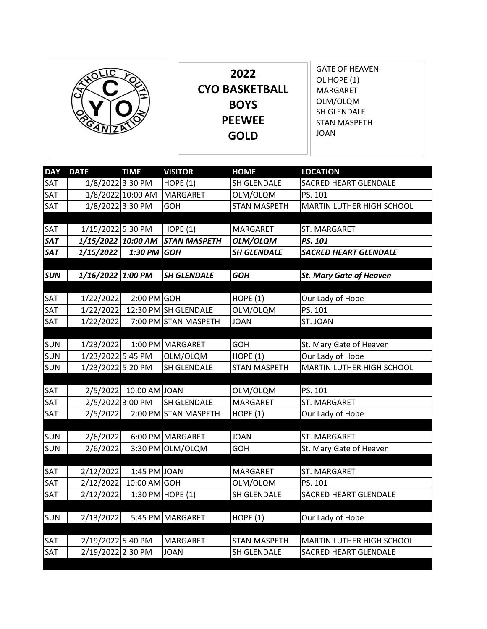|  | 2022<br><b>CYO BASKETBALL</b><br><b>BOYS</b><br><b>PEEWEE</b><br><b>GOLD</b> | <b>GATE OF HEAVEN</b><br>OL HOPE (1)<br><b>MARGARET</b><br>OLM/OLQM<br>SH GLENDALE<br><b>STAN MASPETH</b><br><b>JOAN</b> |
|--|------------------------------------------------------------------------------|--------------------------------------------------------------------------------------------------------------------------|
|--|------------------------------------------------------------------------------|--------------------------------------------------------------------------------------------------------------------------|

| <b>DAY</b> | <b>DATE</b>        | <b>TIME</b>       | <b>VISITOR</b>       | <b>HOME</b>         | <b>LOCATION</b>                |
|------------|--------------------|-------------------|----------------------|---------------------|--------------------------------|
| SAT        | 1/8/2022 3:30 PM   |                   | HOPE $(1)$           | SH GLENDALE         | SACRED HEART GLENDALE          |
| SAT        |                    | 1/8/2022 10:00 AM | <b>MARGARET</b>      | OLM/OLQM            | PS. 101                        |
| SAT        | 1/8/2022 3:30 PM   |                   | <b>GOH</b>           | <b>STAN MASPETH</b> | MARTIN LUTHER HIGH SCHOOL      |
|            |                    |                   |                      |                     |                                |
| <b>SAT</b> | 1/15/2022 5:30 PM  |                   | HOPE $(1)$           | <b>MARGARET</b>     | ST. MARGARET                   |
| <b>SAT</b> | 1/15/2022 10:00 AM |                   | <b>STAN MASPETH</b>  | OLM/OLQM            | PS. 101                        |
| <b>SAT</b> | 1/15/2022          | 1:30 PM           | <b>GOH</b>           | <b>SH GLENDALE</b>  | <b>SACRED HEART GLENDALE</b>   |
|            |                    |                   |                      |                     |                                |
| <b>SUN</b> | 1/16/2022 1:00 PM  |                   | <b>SH GLENDALE</b>   | <b>GOH</b>          | <b>St. Mary Gate of Heaven</b> |
|            |                    |                   |                      |                     |                                |
| SAT        | 1/22/2022          | $2:00$ PM GOH     |                      | <b>HOPE (1)</b>     | Our Lady of Hope               |
| SAT        | 1/22/2022          |                   | 12:30 PM SH GLENDALE | OLM/OLQM            | PS. 101                        |
| SAT        | 1/22/2022          |                   | 7:00 PM STAN MASPETH | <b>JOAN</b>         | ST. JOAN                       |
|            |                    |                   |                      |                     |                                |
| <b>SUN</b> | 1/23/2022          |                   | 1:00 PM MARGARET     | <b>GOH</b>          | St. Mary Gate of Heaven        |
| SUN        | 1/23/2022 5:45 PM  |                   | OLM/OLQM             | <b>HOPE (1)</b>     | Our Lady of Hope               |
| <b>SUN</b> | 1/23/2022 5:20 PM  |                   | SH GLENDALE          | <b>STAN MASPETH</b> | MARTIN LUTHER HIGH SCHOOL      |
|            |                    |                   |                      |                     |                                |
| SAT        | 2/5/2022           | 10:00 AM JOAN     |                      | OLM/OLQM            | PS. 101                        |
| SAT        | 2/5/2022 3:00 PM   |                   | SH GLENDALE          | MARGARET            | ST. MARGARET                   |
| SAT        | 2/5/2022           |                   | 2:00 PM STAN MASPETH | HOPE $(1)$          | Our Lady of Hope               |
|            |                    |                   |                      |                     |                                |
| <b>SUN</b> | 2/6/2022           |                   | 6:00 PM MARGARET     | <b>JOAN</b>         | ST. MARGARET                   |
| <b>SUN</b> | 2/6/2022           |                   | 3:30 PM OLM/OLQM     | <b>GOH</b>          | St. Mary Gate of Heaven        |
|            |                    |                   |                      |                     |                                |
| SAT        | 2/12/2022          | 1:45 PM JOAN      |                      | <b>MARGARET</b>     | ST. MARGARET                   |
| SAT        | 2/12/2022          | $10:00$ AM GOH    |                      | OLM/OLQM            | PS. 101                        |
| SAT        | 2/12/2022          |                   | 1:30 PM HOPE (1)     | SH GLENDALE         | <b>SACRED HEART GLENDALE</b>   |
|            |                    |                   |                      |                     |                                |
| <b>SUN</b> | 2/13/2022          |                   | 5:45 PM MARGARET     | HOPE $(1)$          | Our Lady of Hope               |
|            |                    |                   |                      |                     |                                |
| SAT        | 2/19/2022 5:40 PM  |                   | <b>MARGARET</b>      | <b>STAN MASPETH</b> | MARTIN LUTHER HIGH SCHOOL      |
| SAT        | 2/19/2022 2:30 PM  |                   | <b>JOAN</b>          | SH GLENDALE         | <b>SACRED HEART GLENDALE</b>   |